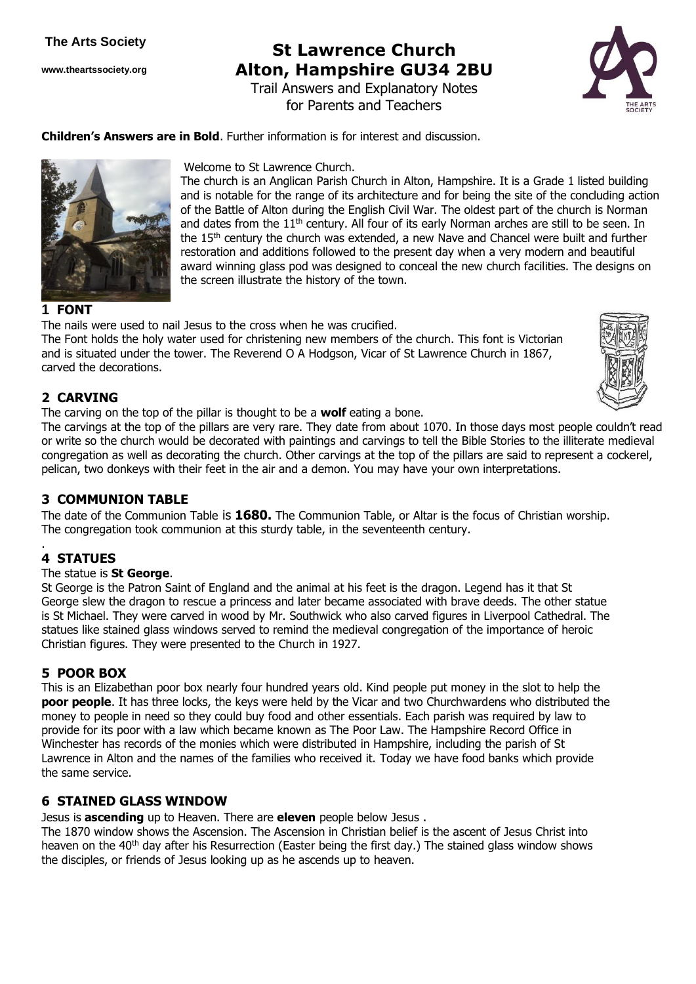**www.theartssociety.org**

# **St Lawrence Church Alton, Hampshire GU34 2BU**

Trail Answers and Explanatory Notes for Parents and Teachers

The church is an Anglican Parish Church in Alton, Hampshire. It is a Grade 1 listed building and is notable for the range of its architecture and for being the site of the concluding action of the Battle of Alton during the English Civil War. The oldest part of the church is Norman and dates from the 11<sup>th</sup> century. All four of its early Norman arches are still to be seen. In the 15th century the church was extended, a new Nave and Chancel were built and further restoration and additions followed to the present day when a very modern and beautiful



**Children's Answers are in Bold**. Further information is for interest and discussion.

Welcome to St Lawrence Church.



#### **1 FONT**

award winning glass pod was designed to conceal the new church facilities. The designs on the screen illustrate the history of the town.

The nails were used to nail Jesus to the cross when he was crucified. The Font holds the holy water used for christening new members of the church. This font is Victorian and is situated under the tower. The Reverend O A Hodgson, Vicar of St Lawrence Church in 1867, carved the decorations.



# **2 CARVING**

The carving on the top of the pillar is thought to be a **wolf** eating a bone.

The carvings at the top of the pillars are very rare. They date from about 1070. In those days most people couldn't read or write so the church would be decorated with paintings and carvings to tell the Bible Stories to the illiterate medieval congregation as well as decorating the church. Other carvings at the top of the pillars are said to represent a cockerel, pelican, two donkeys with their feet in the air and a demon. You may have your own interpretations.

## **3 COMMUNION TABLE**

The date of the Communion Table is **1680.** The Communion Table, or Altar is the focus of Christian worship. The congregation took communion at this sturdy table, in the seventeenth century.

#### . **4 STATUES**

#### The statue is **St George**.

St George is the Patron Saint of England and the animal at his feet is the dragon. Legend has it that St George slew the dragon to rescue a princess and later became associated with brave deeds. The other statue is St Michael. They were carved in wood by Mr. Southwick who also carved figures in Liverpool Cathedral. The statues like stained glass windows served to remind the medieval congregation of the importance of heroic Christian figures. They were presented to the Church in 1927.

## **5 POOR BOX**

This is an Elizabethan poor box nearly four hundred years old. Kind people put money in the slot to help the **poor people**. It has three locks, the keys were held by the Vicar and two Churchwardens who distributed the money to people in need so they could buy food and other essentials. Each parish was required by law to provide for its poor with a law which became known as The Poor Law. The Hampshire Record Office in Winchester has records of the monies which were distributed in Hampshire, including the parish of St Lawrence in Alton and the names of the families who received it. Today we have food banks which provide the same service.

## **6 STAINED GLASS WINDOW**

Jesus is **ascending** up to Heaven. There are **eleven** people below Jesus .

The 1870 window shows the Ascension. The Ascension in Christian belief is the ascent of Jesus Christ into heaven on the 40<sup>th</sup> day after his Resurrection (Easter being the first day.) The stained glass window shows the disciples, or friends of Jesus looking up as he ascends up to heaven.